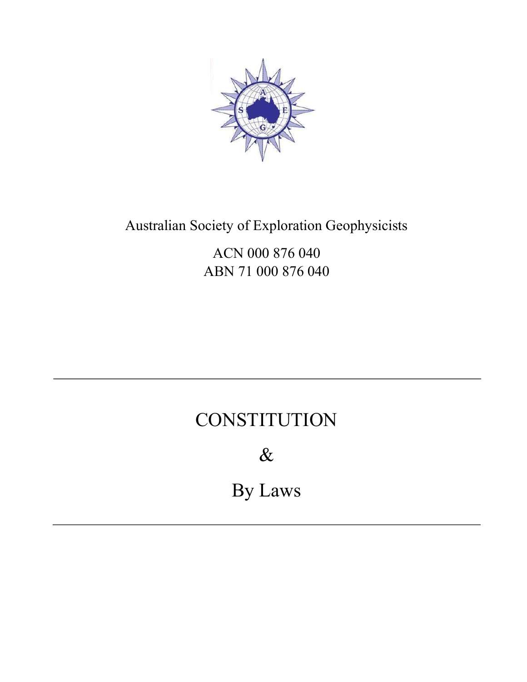

# Australian Society of Exploration Geophysicists

ACN 000 876 040 ABN 71 000 876 040

# **CONSTITUTION**

 $\&$ 

By Laws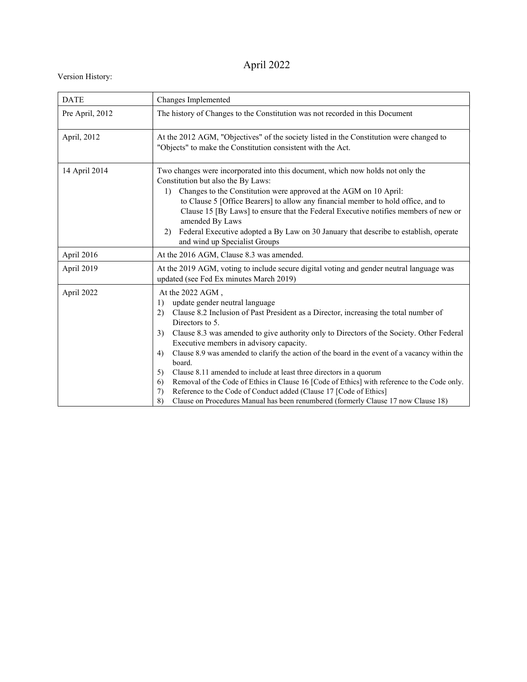# April 2022

# Version History:

| <b>DATE</b>     | Changes Implemented                                                                                                                                                                                                                                                                                                                                                                                                                                                                                                                                                                                                                                                                                                                                                                                                |
|-----------------|--------------------------------------------------------------------------------------------------------------------------------------------------------------------------------------------------------------------------------------------------------------------------------------------------------------------------------------------------------------------------------------------------------------------------------------------------------------------------------------------------------------------------------------------------------------------------------------------------------------------------------------------------------------------------------------------------------------------------------------------------------------------------------------------------------------------|
| Pre April, 2012 | The history of Changes to the Constitution was not recorded in this Document                                                                                                                                                                                                                                                                                                                                                                                                                                                                                                                                                                                                                                                                                                                                       |
| April, 2012     | At the 2012 AGM, "Objectives" of the society listed in the Constitution were changed to<br>"Objects" to make the Constitution consistent with the Act.                                                                                                                                                                                                                                                                                                                                                                                                                                                                                                                                                                                                                                                             |
| 14 April 2014   | Two changes were incorporated into this document, which now holds not only the<br>Constitution but also the By Laws:<br>1) Changes to the Constitution were approved at the AGM on 10 April:<br>to Clause 5 [Office Bearers] to allow any financial member to hold office, and to<br>Clause 15 [By Laws] to ensure that the Federal Executive notifies members of new or<br>amended By Laws<br>Federal Executive adopted a By Law on 30 January that describe to establish, operate<br>2)<br>and wind up Specialist Groups                                                                                                                                                                                                                                                                                         |
| April 2016      | At the 2016 AGM, Clause 8.3 was amended.                                                                                                                                                                                                                                                                                                                                                                                                                                                                                                                                                                                                                                                                                                                                                                           |
| April 2019      | At the 2019 AGM, voting to include secure digital voting and gender neutral language was<br>updated (see Fed Ex minutes March 2019)                                                                                                                                                                                                                                                                                                                                                                                                                                                                                                                                                                                                                                                                                |
| April 2022      | At the 2022 AGM,<br>update gender neutral language<br>$\left( \right)$<br>Clause 8.2 Inclusion of Past President as a Director, increasing the total number of<br>(2)<br>Directors to 5.<br>Clause 8.3 was amended to give authority only to Directors of the Society. Other Federal<br>3)<br>Executive members in advisory capacity.<br>Clause 8.9 was amended to clarify the action of the board in the event of a vacancy within the<br>4)<br>board.<br>Clause 8.11 amended to include at least three directors in a quorum<br>5)<br>Removal of the Code of Ethics in Clause 16 [Code of Ethics] with reference to the Code only.<br>6)<br>Reference to the Code of Conduct added (Clause 17 [Code of Ethics]<br>7)<br>Clause on Procedures Manual has been renumbered (formerly Clause 17 now Clause 18)<br>8) |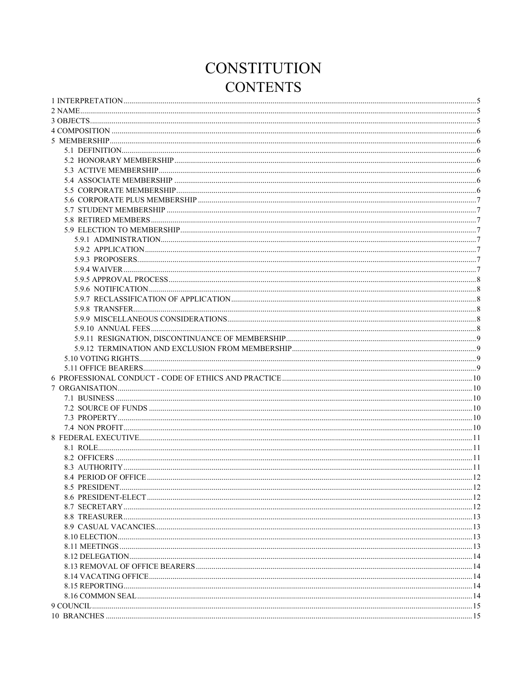# **CONSTITUTION CONTENTS**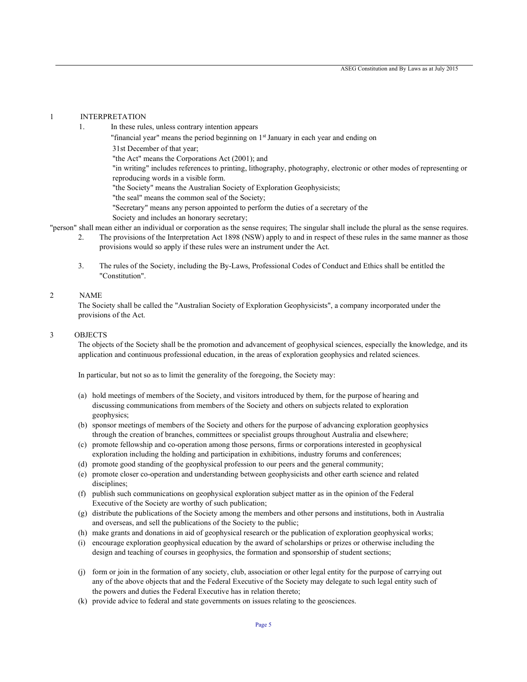# 1 INTERPRETATION

- 1. In these rules, unless contrary intention appears
	- "financial year" means the period beginning on 1<sup>st</sup> January in each year and ending on
		- 31st December of that year;
	- "the Act" means the Corporations Act (2001); and
	- "in writing" includes references to printing, lithography, photography, electronic or other modes of representing or reproducing words in a visible form.
	- "the Society" means the Australian Society of Exploration Geophysicists;
	- "the seal" means the common seal of the Society;
	- "Secretary" means any person appointed to perform the duties of a secretary of the
	- Society and includes an honorary secretary;

"person" shall mean either an individual or corporation as the sense requires; The singular shall include the plural as the sense requires.

- 2. The provisions of the Interpretation Act 1898 (NSW) apply to and in respect of these rules in the same manner as those provisions would so apply if these rules were an instrument under the Act.
- 3. The rules of the Society, including the By-Laws, Professional Codes of Conduct and Ethics shall be entitled the "Constitution".

# 2 NAME

The Society shall be called the "Australian Society of Exploration Geophysicists", a company incorporated under the provisions of the Act.

#### 3 OBJECTS

The objects of the Society shall be the promotion and advancement of geophysical sciences, especially the knowledge, and its application and continuous professional education, in the areas of exploration geophysics and related sciences.

In particular, but not so as to limit the generality of the foregoing, the Society may:

- (a) hold meetings of members of the Society, and visitors introduced by them, for the purpose of hearing and discussing communications from members of the Society and others on subjects related to exploration geophysics;
- (b) sponsor meetings of members of the Society and others for the purpose of advancing exploration geophysics through the creation of branches, committees or specialist groups throughout Australia and elsewhere;
- (c) promote fellowship and co-operation among those persons, firms or corporations interested in geophysical exploration including the holding and participation in exhibitions, industry forums and conferences;
- (d) promote good standing of the geophysical profession to our peers and the general community;
- (e) promote closer co-operation and understanding between geophysicists and other earth science and related disciplines;
- (f) publish such communications on geophysical exploration subject matter as in the opinion of the Federal Executive of the Society are worthy of such publication;
- (g) distribute the publications of the Society among the members and other persons and institutions, both in Australia and overseas, and sell the publications of the Society to the public;
- (h) make grants and donations in aid of geophysical research or the publication of exploration geophysical works;
- (i) encourage exploration geophysical education by the award of scholarships or prizes or otherwise including the design and teaching of courses in geophysics, the formation and sponsorship of student sections;
- (j) form or join in the formation of any society, club, association or other legal entity for the purpose of carrying out any of the above objects that and the Federal Executive of the Society may delegate to such legal entity such of the powers and duties the Federal Executive has in relation thereto;
- (k) provide advice to federal and state governments on issues relating to the geosciences.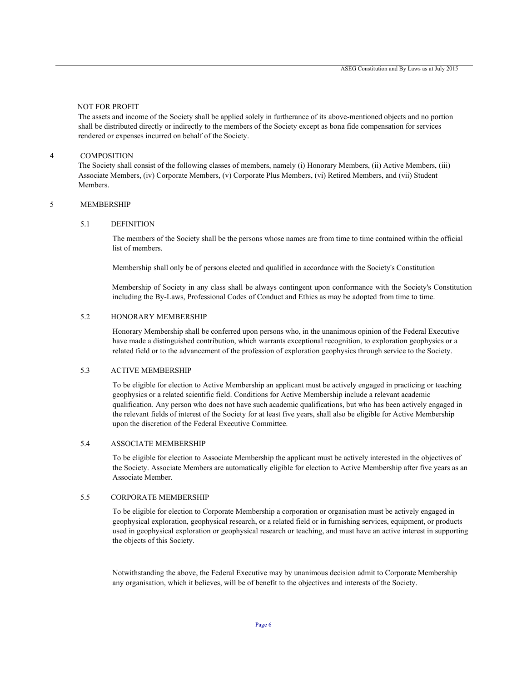#### NOT FOR PROFIT

The assets and income of the Society shall be applied solely in furtherance of its above-mentioned objects and no portion shall be distributed directly or indirectly to the members of the Society except as bona fide compensation for services rendered or expenses incurred on behalf of the Society.

# 4 COMPOSITION

The Society shall consist of the following classes of members, namely (i) Honorary Members, (ii) Active Members, (iii) Associate Members, (iv) Corporate Members, (v) Corporate Plus Members, (vi) Retired Members, and (vii) Student Members.

### 5 MEMBERSHIP

#### 5.1 DEFINITION

The members of the Society shall be the persons whose names are from time to time contained within the official list of members.

Membership shall only be of persons elected and qualified in accordance with the Society's Constitution

Membership of Society in any class shall be always contingent upon conformance with the Society's Constitution including the By-Laws, Professional Codes of Conduct and Ethics as may be adopted from time to time.

# 5.2 HONORARY MEMBERSHIP

Honorary Membership shall be conferred upon persons who, in the unanimous opinion of the Federal Executive have made a distinguished contribution, which warrants exceptional recognition, to exploration geophysics or a related field or to the advancement of the profession of exploration geophysics through service to the Society.

#### 5.3 ACTIVE MEMBERSHIP

To be eligible for election to Active Membership an applicant must be actively engaged in practicing or teaching geophysics or a related scientific field. Conditions for Active Membership include a relevant academic qualification. Any person who does not have such academic qualifications, but who has been actively engaged in the relevant fields of interest of the Society for at least five years, shall also be eligible for Active Membership upon the discretion of the Federal Executive Committee.

# 5.4 ASSOCIATE MEMBERSHIP

To be eligible for election to Associate Membership the applicant must be actively interested in the objectives of the Society. Associate Members are automatically eligible for election to Active Membership after five years as an Associate Member.

#### 5.5 CORPORATE MEMBERSHIP

To be eligible for election to Corporate Membership a corporation or organisation must be actively engaged in geophysical exploration, geophysical research, or a related field or in furnishing services, equipment, or products used in geophysical exploration or geophysical research or teaching, and must have an active interest in supporting the objects of this Society.

Notwithstanding the above, the Federal Executive may by unanimous decision admit to Corporate Membership any organisation, which it believes, will be of benefit to the objectives and interests of the Society.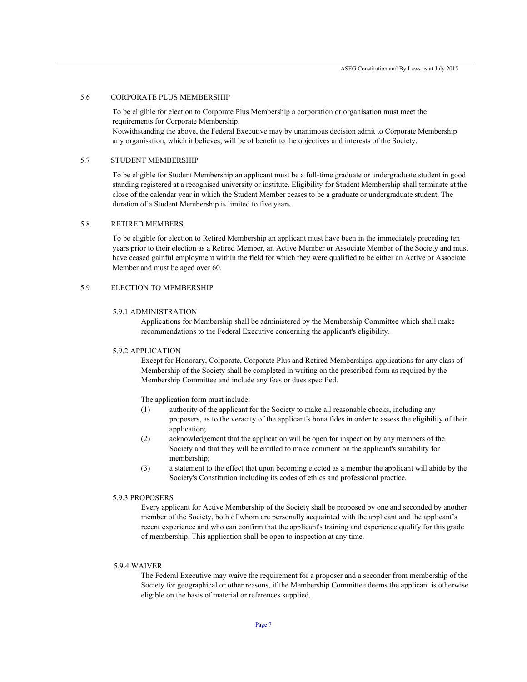#### 5.6 CORPORATE PLUS MEMBERSHIP

To be eligible for election to Corporate Plus Membership a corporation or organisation must meet the requirements for Corporate Membership.

Notwithstanding the above, the Federal Executive may by unanimous decision admit to Corporate Membership any organisation, which it believes, will be of benefit to the objectives and interests of the Society.

#### 5.7 STUDENT MEMBERSHIP

To be eligible for Student Membership an applicant must be a full-time graduate or undergraduate student in good standing registered at a recognised university or institute. Eligibility for Student Membership shall terminate at the close of the calendar year in which the Student Member ceases to be a graduate or undergraduate student. The duration of a Student Membership is limited to five years.

#### 5.8 RETIRED MEMBERS

To be eligible for election to Retired Membership an applicant must have been in the immediately preceding ten years prior to their election as a Retired Member, an Active Member or Associate Member of the Society and must have ceased gainful employment within the field for which they were qualified to be either an Active or Associate Member and must be aged over 60.

# 5.9 ELECTION TO MEMBERSHIP

#### 5.9.1 ADMINISTRATION

Applications for Membership shall be administered by the Membership Committee which shall make recommendations to the Federal Executive concerning the applicant's eligibility.

# 5.9.2 APPLICATION

Except for Honorary, Corporate, Corporate Plus and Retired Memberships, applications for any class of Membership of the Society shall be completed in writing on the prescribed form as required by the Membership Committee and include any fees or dues specified.

The application form must include:

- (1) authority of the applicant for the Society to make all reasonable checks, including any proposers, as to the veracity of the applicant's bona fides in order to assess the eligibility of their application;
- (2) acknowledgement that the application will be open for inspection by any members of the Society and that they will be entitled to make comment on the applicant's suitability for membership;
- (3) a statement to the effect that upon becoming elected as a member the applicant will abide by the Society's Constitution including its codes of ethics and professional practice.

# 5.9.3 PROPOSERS

Every applicant for Active Membership of the Society shall be proposed by one and seconded by another member of the Society, both of whom are personally acquainted with the applicant and the applicant's recent experience and who can confirm that the applicant's training and experience qualify for this grade of membership. This application shall be open to inspection at any time.

#### 5.9.4 WAIVER

The Federal Executive may waive the requirement for a proposer and a seconder from membership of the Society for geographical or other reasons, if the Membership Committee deems the applicant is otherwise eligible on the basis of material or references supplied.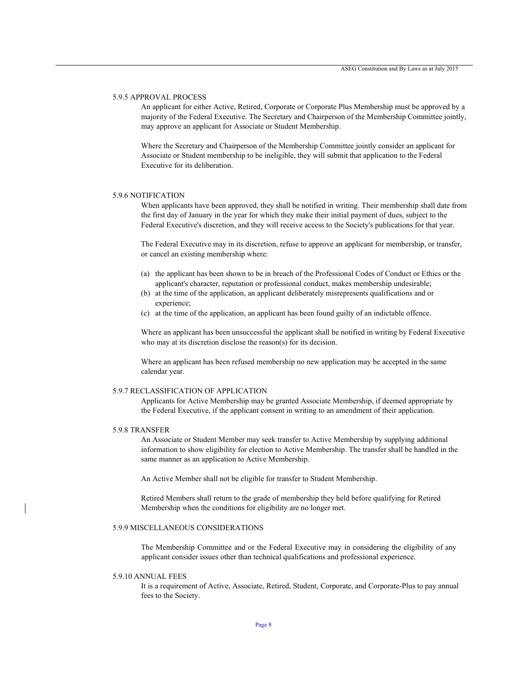#### 5.9.5 APPROVAL PROCESS

An applicant for either Active, Retired, Corporate or Corporate Plus Membership must be approved by a majority of the Federal Executive. The Secretary and Chairperson of the Membership Committee jointly, may approve an applicant for Associate or Student Membership.

Where the Secretary and Chairperson of the Membership Committee jointly consider an applicant for Associate or Student membership to be ineligible, they will submit that application to the Federal Executive for its deliberation.

#### 5.9.6 NOTIFICATION

When applicants have been approved, they shall be notified in writing. Their membership shall date from the first day of January in the year for which they make their initial payment of dues, subject to the Federal Executive's discretion, and they will receive access to the Society's publications for that year.

The Federal Executive may in its discretion, refuse to approve an applicant for membership, or transfer, or cancel an existing membership where:

- (a) the applicant has been shown to be in breach of the Professional Codes of Conduct or Ethics or the applicant's character, reputation or professional conduct, makes membership undesirable;
- (b) at the time of the application, an applicant deliberately misrepresents qualifications and or experience;
- (c) at the time of the application, an applicant has been found guilty of an indictable offence.

Where an applicant has been unsuccessful the applicant shall be notified in writing by Federal Executive who may at its discretion disclose the reason(s) for its decision.

Where an applicant has been refused membership no new application may be accepted in the same calendar year.

#### 5.9.7 RECLASSIFICATION OF APPLICATION

Applicants for Active Membership may be granted Associate Membership, if deemed appropriate by the Federal Executive, if the applicant consent in writing to an amendment of their application.

5.9.8 TRANSFER

An Associate or Student Member may seek transfer to Active Membership by supplying additional information to show eligibility for election to Active Membership. The transfer shall be handled in the same manner as an application to Active Membership.

An Active Member shall not be eligible for transfer to Student Membership.

Retired Members shall return to the grade of membership they held before qualifying for Retired Membership when the conditions for eligibility are no longer met.

# 5.9.9 MISCELLANEOUS CONSIDERATIONS

The Membership Committee and or the Federal Executive may in considering the eligibility of any applicant consider issues other than technical qualifications and professional experience.

#### 5.9.10 ANNUAL FEES

It is a requirement of Active, Associate, Retired, Student, Corporate, and Corporate-Plus to pay annual fees to the Society.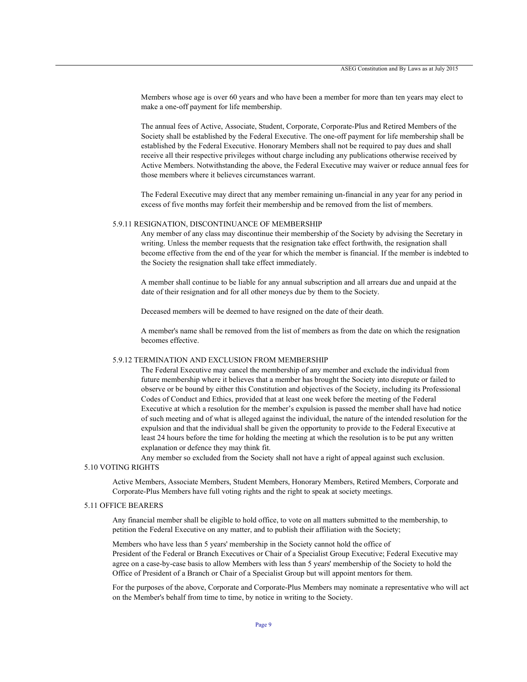Members whose age is over 60 years and who have been a member for more than ten years may elect to make a one-off payment for life membership.

The annual fees of Active, Associate, Student, Corporate, Corporate-Plus and Retired Members of the Society shall be established by the Federal Executive. The one-off payment for life membership shall be established by the Federal Executive. Honorary Members shall not be required to pay dues and shall receive all their respective privileges without charge including any publications otherwise received by Active Members. Notwithstanding the above, the Federal Executive may waiver or reduce annual fees for those members where it believes circumstances warrant.

The Federal Executive may direct that any member remaining un-financial in any year for any period in excess of five months may forfeit their membership and be removed from the list of members.

#### 5.9.11 RESIGNATION, DISCONTINUANCE OF MEMBERSHIP

Any member of any class may discontinue their membership of the Society by advising the Secretary in writing. Unless the member requests that the resignation take effect forthwith, the resignation shall become effective from the end of the year for which the member is financial. If the member is indebted to the Society the resignation shall take effect immediately.

A member shall continue to be liable for any annual subscription and all arrears due and unpaid at the date of their resignation and for all other moneys due by them to the Society.

Deceased members will be deemed to have resigned on the date of their death.

A member's name shall be removed from the list of members as from the date on which the resignation becomes effective.

# 5.9.12 TERMINATION AND EXCLUSION FROM MEMBERSHIP

The Federal Executive may cancel the membership of any member and exclude the individual from future membership where it believes that a member has brought the Society into disrepute or failed to observe or be bound by either this Constitution and objectives of the Society, including its Professional Codes of Conduct and Ethics, provided that at least one week before the meeting of the Federal Executive at which a resolution for the member's expulsion is passed the member shall have had notice of such meeting and of what is alleged against the individual, the nature of the intended resolution for the expulsion and that the individual shall be given the opportunity to provide to the Federal Executive at least 24 hours before the time for holding the meeting at which the resolution is to be put any written explanation or defence they may think fit.

Any member so excluded from the Society shall not have a right of appeal against such exclusion.

# 5.10 VOTING RIGHTS

Active Members, Associate Members, Student Members, Honorary Members, Retired Members, Corporate and Corporate-Plus Members have full voting rights and the right to speak at society meetings.

# 5.11 OFFICE BEARERS

Any financial member shall be eligible to hold office, to vote on all matters submitted to the membership, to petition the Federal Executive on any matter, and to publish their affiliation with the Society;

Members who have less than 5 years' membership in the Society cannot hold the office of President of the Federal or Branch Executives or Chair of a Specialist Group Executive; Federal Executive may agree on a case-by-case basis to allow Members with less than 5 years' membership of the Society to hold the Office of President of a Branch or Chair of a Specialist Group but will appoint mentors for them.

For the purposes of the above, Corporate and Corporate-Plus Members may nominate a representative who will act on the Member's behalf from time to time, by notice in writing to the Society.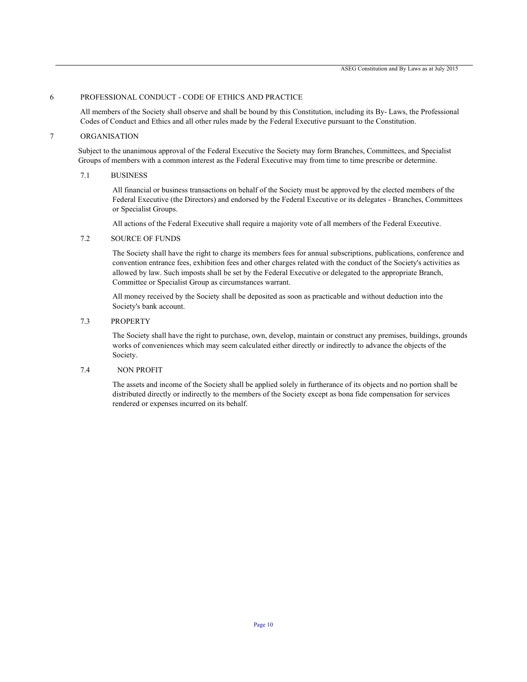#### 6 PROFESSIONAL CONDUCT - CODE OF ETHICS AND PRACTICE

All members of the Society shall observe and shall be bound by this Constitution, including its By- Laws, the Professional Codes of Conduct and Ethics and all other rules made by the Federal Executive pursuant to the Constitution.

#### 7 ORGANISATION

Subject to the unanimous approval of the Federal Executive the Society may form Branches, Committees, and Specialist Groups of members with a common interest as the Federal Executive may from time to time prescribe or determine.

#### 7.1 BUSINESS

All financial or business transactions on behalf of the Society must be approved by the elected members of the Federal Executive (the Directors) and endorsed by the Federal Executive or its delegates - Branches, Committees or Specialist Groups.

All actions of the Federal Executive shall require a majority vote of all members of the Federal Executive.

# 7.2 SOURCE OF FUNDS

The Society shall have the right to charge its members fees for annual subscriptions, publications, conference and convention entrance fees, exhibition fees and other charges related with the conduct of the Society's activities as allowed by law. Such imposts shall be set by the Federal Executive or delegated to the appropriate Branch, Committee or Specialist Group as circumstances warrant.

All money received by the Society shall be deposited as soon as practicable and without deduction into the Society's bank account.

#### 7.3 PROPERTY

The Society shall have the right to purchase, own, develop, maintain or construct any premises, buildings, grounds works of conveniences which may seem calculated either directly or indirectly to advance the objects of the Society.

#### 7.4 NON PROFIT

The assets and income of the Society shall be applied solely in furtherance of its objects and no portion shall be distributed directly or indirectly to the members of the Society except as bona fide compensation for services rendered or expenses incurred on its behalf.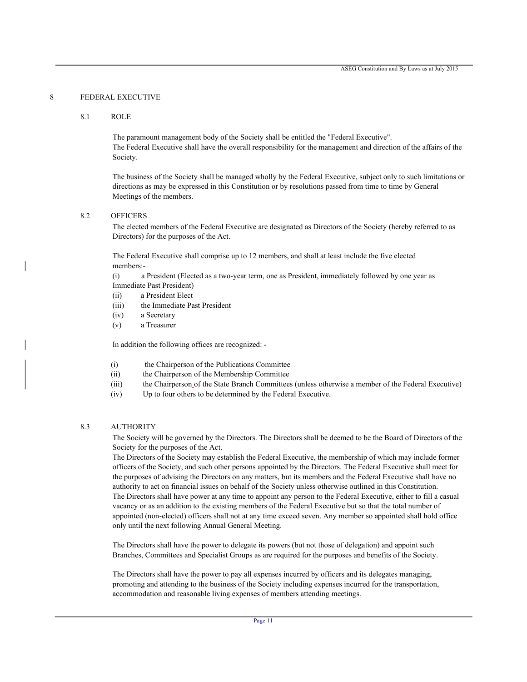#### 8 FEDERAL EXECUTIVE

# 8.1 ROLE

The paramount management body of the Society shall be entitled the "Federal Executive". The Federal Executive shall have the overall responsibility for the management and direction of the affairs of the Society.

The business of the Society shall be managed wholly by the Federal Executive, subject only to such limitations or directions as may be expressed in this Constitution or by resolutions passed from time to time by General Meetings of the members.

#### 8.2 OFFICERS

The elected members of the Federal Executive are designated as Directors of the Society (hereby referred to as Directors) for the purposes of the Act.

The Federal Executive shall comprise up to 12 members, and shall at least include the five elected members:-

(i) a President (Elected as a two-year term, one as President, immediately followed by one year as Immediate Past President)

- (ii) a President Elect
- (iii) the Immediate Past President
- (iv) a Secretary
- (v) a Treasurer

In addition the following offices are recognized: -

- (i) the Chairperson of the Publications Committee
- (ii) the Chairperson of the Membership Committee
- (iii) the Chairperson of the State Branch Committees (unless otherwise a member of the Federal Executive)
- (iv) Up to four others to be determined by the Federal Executive.

# 8.3 AUTHORITY

The Society will be governed by the Directors. The Directors shall be deemed to be the Board of Directors of the Society for the purposes of the Act.

The Directors of the Society may establish the Federal Executive, the membership of which may include former officers of the Society, and such other persons appointed by the Directors. The Federal Executive shall meet for the purposes of advising the Directors on any matters, but its members and the Federal Executive shall have no authority to act on financial issues on behalf of the Society unless otherwise outlined in this Constitution. The Directors shall have power at any time to appoint any person to the Federal Executive, either to fill a casual vacancy or as an addition to the existing members of the Federal Executive but so that the total number of appointed (non-elected) officers shall not at any time exceed seven. Any member so appointed shall hold office only until the next following Annual General Meeting.

The Directors shall have the power to delegate its powers (but not those of delegation) and appoint such Branches, Committees and Specialist Groups as are required for the purposes and benefits of the Society.

The Directors shall have the power to pay all expenses incurred by officers and its delegates managing, promoting and attending to the business of the Society including expenses incurred for the transportation, accommodation and reasonable living expenses of members attending meetings.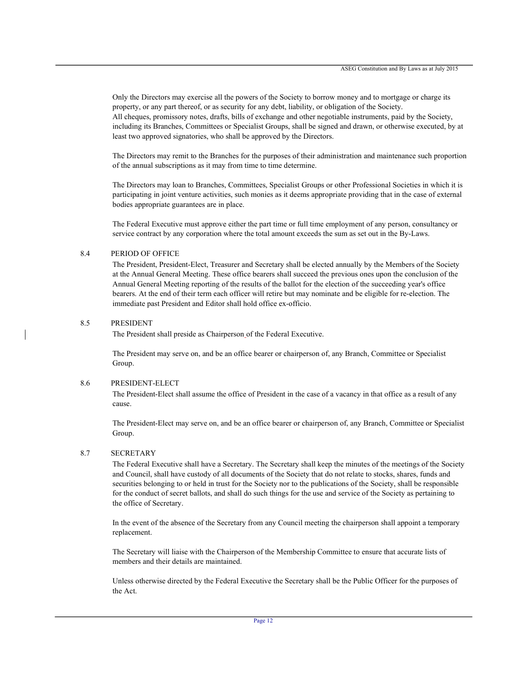Only the Directors may exercise all the powers of the Society to borrow money and to mortgage or charge its property, or any part thereof, or as security for any debt, liability, or obligation of the Society. All cheques, promissory notes, drafts, bills of exchange and other negotiable instruments, paid by the Society, including its Branches, Committees or Specialist Groups, shall be signed and drawn, or otherwise executed, by at least two approved signatories, who shall be approved by the Directors.

The Directors may remit to the Branches for the purposes of their administration and maintenance such proportion of the annual subscriptions as it may from time to time determine.

The Directors may loan to Branches, Committees, Specialist Groups or other Professional Societies in which it is participating in joint venture activities, such monies as it deems appropriate providing that in the case of external bodies appropriate guarantees are in place.

The Federal Executive must approve either the part time or full time employment of any person, consultancy or service contract by any corporation where the total amount exceeds the sum as set out in the By-Laws.

#### 8.4 PERIOD OF OFFICE

The President, President-Elect, Treasurer and Secretary shall be elected annually by the Members of the Society at the Annual General Meeting. These office bearers shall succeed the previous ones upon the conclusion of the Annual General Meeting reporting of the results of the ballot for the election of the succeeding year's office bearers. At the end of their term each officer will retire but may nominate and be eligible for re-election. The immediate past President and Editor shall hold office ex-officio.

## 8.5 PRESIDENT

The President shall preside as Chairperson of the Federal Executive.

The President may serve on, and be an office bearer or chairperson of, any Branch, Committee or Specialist Group.

# 8.6 PRESIDENT-ELECT

The President-Elect shall assume the office of President in the case of a vacancy in that office as a result of any cause.

The President-Elect may serve on, and be an office bearer or chairperson of, any Branch, Committee or Specialist Group.

# 8.7 SECRETARY

The Federal Executive shall have a Secretary. The Secretary shall keep the minutes of the meetings of the Society and Council, shall have custody of all documents of the Society that do not relate to stocks, shares, funds and securities belonging to or held in trust for the Society nor to the publications of the Society, shall be responsible for the conduct of secret ballots, and shall do such things for the use and service of the Society as pertaining to the office of Secretary.

In the event of the absence of the Secretary from any Council meeting the chairperson shall appoint a temporary replacement.

The Secretary will liaise with the Chairperson of the Membership Committee to ensure that accurate lists of members and their details are maintained.

Unless otherwise directed by the Federal Executive the Secretary shall be the Public Officer for the purposes of the Act.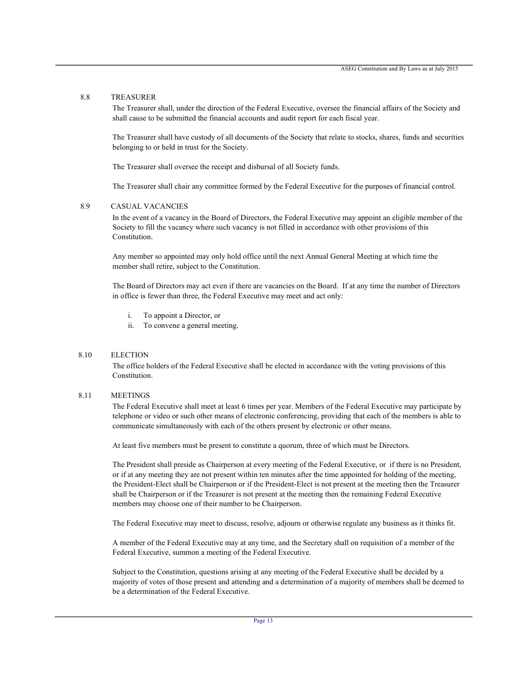#### 8.8 TREASURER

The Treasurer shall, under the direction of the Federal Executive, oversee the financial affairs of the Society and shall cause to be submitted the financial accounts and audit report for each fiscal year.

The Treasurer shall have custody of all documents of the Society that relate to stocks, shares, funds and securities belonging to or held in trust for the Society.

The Treasurer shall oversee the receipt and disbursal of all Society funds.

The Treasurer shall chair any committee formed by the Federal Executive for the purposes of financial control.

#### 8.9 CASUAL VACANCIES

In the event of a vacancy in the Board of Directors, the Federal Executive may appoint an eligible member of the Society to fill the vacancy where such vacancy is not filled in accordance with other provisions of this Constitution.

Any member so appointed may only hold office until the next Annual General Meeting at which time the member shall retire, subject to the Constitution.

The Board of Directors may act even if there are vacancies on the Board. If at any time the number of Directors in office is fewer than three, the Federal Executive may meet and act only:

- i. To appoint a Director, or
- ii. To convene a general meeting.

## 8.10 ELECTION

The office holders of the Federal Executive shall be elected in accordance with the voting provisions of this Constitution.

#### 8.11 MEETINGS

The Federal Executive shall meet at least 6 times per year. Members of the Federal Executive may participate by telephone or video or such other means of electronic conferencing, providing that each of the members is able to communicate simultaneously with each of the others present by electronic or other means.

At least five members must be present to constitute a quorum, three of which must be Directors.

The President shall preside as Chairperson at every meeting of the Federal Executive, or if there is no President, or if at any meeting they are not present within ten minutes after the time appointed for holding of the meeting, the President-Elect shall be Chairperson or if the President-Elect is not present at the meeting then the Treasurer shall be Chairperson or if the Treasurer is not present at the meeting then the remaining Federal Executive members may choose one of their number to be Chairperson.

The Federal Executive may meet to discuss, resolve, adjourn or otherwise regulate any business as it thinks fit.

A member of the Federal Executive may at any time, and the Secretary shall on requisition of a member of the Federal Executive, summon a meeting of the Federal Executive.

Subject to the Constitution, questions arising at any meeting of the Federal Executive shall be decided by a majority of votes of those present and attending and a determination of a majority of members shall be deemed to be a determination of the Federal Executive.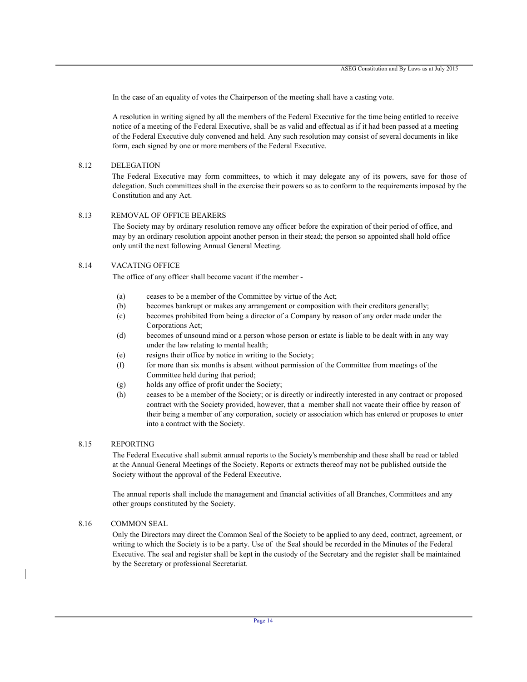In the case of an equality of votes the Chairperson of the meeting shall have a casting vote.

A resolution in writing signed by all the members of the Federal Executive for the time being entitled to receive notice of a meeting of the Federal Executive, shall be as valid and effectual as if it had been passed at a meeting of the Federal Executive duly convened and held. Any such resolution may consist of several documents in like form, each signed by one or more members of the Federal Executive.

# 8.12 DELEGATION

The Federal Executive may form committees, to which it may delegate any of its powers, save for those of delegation. Such committees shall in the exercise their powers so as to conform to the requirements imposed by the Constitution and any Act.

# 8.13 REMOVAL OF OFFICE BEARERS

The Society may by ordinary resolution remove any officer before the expiration of their period of office, and may by an ordinary resolution appoint another person in their stead; the person so appointed shall hold office only until the next following Annual General Meeting.

# 8.14 VACATING OFFICE

The office of any officer shall become vacant if the member -

- (a) ceases to be a member of the Committee by virtue of the Act;
- (b) becomes bankrupt or makes any arrangement or composition with their creditors generally;
- (c) becomes prohibited from being a director of a Company by reason of any order made under the Corporations Act;
- (d) becomes of unsound mind or a person whose person or estate is liable to be dealt with in any way under the law relating to mental health;
- (e) resigns their office by notice in writing to the Society;
- (f) for more than six months is absent without permission of the Committee from meetings of the Committee held during that period;
- (g) holds any office of profit under the Society;
- (h) ceases to be a member of the Society; or is directly or indirectly interested in any contract or proposed contract with the Society provided, however, that a member shall not vacate their office by reason of their being a member of any corporation, society or association which has entered or proposes to enter into a contract with the Society.

# 8.15 REPORTING

The Federal Executive shall submit annual reports to the Society's membership and these shall be read or tabled at the Annual General Meetings of the Society. Reports or extracts thereof may not be published outside the Society without the approval of the Federal Executive.

The annual reports shall include the management and financial activities of all Branches, Committees and any other groups constituted by the Society.

# 8.16 COMMON SEAL

Only the Directors may direct the Common Seal of the Society to be applied to any deed, contract, agreement, or writing to which the Society is to be a party. Use of the Seal should be recorded in the Minutes of the Federal Executive. The seal and register shall be kept in the custody of the Secretary and the register shall be maintained by the Secretary or professional Secretariat.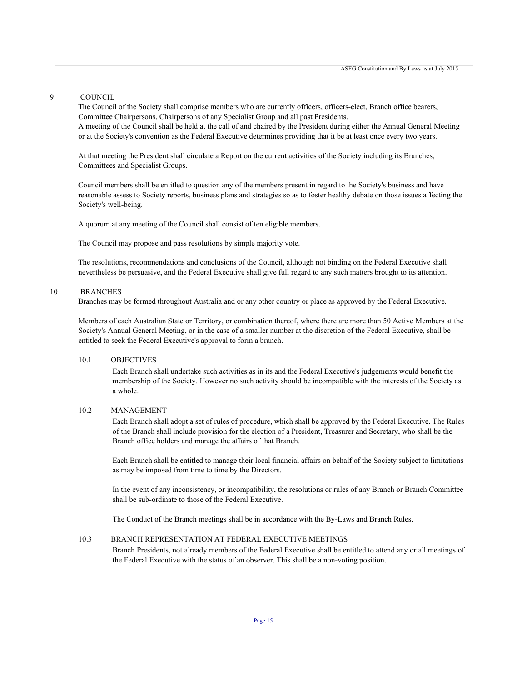#### 9 COUNCIL

The Council of the Society shall comprise members who are currently officers, officers-elect, Branch office bearers, Committee Chairpersons, Chairpersons of any Specialist Group and all past Presidents.

A meeting of the Council shall be held at the call of and chaired by the President during either the Annual General Meeting or at the Society's convention as the Federal Executive determines providing that it be at least once every two years.

At that meeting the President shall circulate a Report on the current activities of the Society including its Branches, Committees and Specialist Groups.

Council members shall be entitled to question any of the members present in regard to the Society's business and have reasonable assess to Society reports, business plans and strategies so as to foster healthy debate on those issues affecting the Society's well-being.

A quorum at any meeting of the Council shall consist of ten eligible members.

The Council may propose and pass resolutions by simple majority vote.

The resolutions, recommendations and conclusions of the Council, although not binding on the Federal Executive shall nevertheless be persuasive, and the Federal Executive shall give full regard to any such matters brought to its attention.

# 10 BRANCHES

Branches may be formed throughout Australia and or any other country or place as approved by the Federal Executive.

Members of each Australian State or Territory, or combination thereof, where there are more than 50 Active Members at the Society's Annual General Meeting, or in the case of a smaller number at the discretion of the Federal Executive, shall be entitled to seek the Federal Executive's approval to form a branch.

# 10.1 OBJECTIVES

Each Branch shall undertake such activities as in its and the Federal Executive's judgements would benefit the membership of the Society. However no such activity should be incompatible with the interests of the Society as a whole.

# 10.2 MANAGEMENT

Each Branch shall adopt a set of rules of procedure, which shall be approved by the Federal Executive. The Rules of the Branch shall include provision for the election of a President, Treasurer and Secretary, who shall be the Branch office holders and manage the affairs of that Branch.

Each Branch shall be entitled to manage their local financial affairs on behalf of the Society subject to limitations as may be imposed from time to time by the Directors.

In the event of any inconsistency, or incompatibility, the resolutions or rules of any Branch or Branch Committee shall be sub-ordinate to those of the Federal Executive.

The Conduct of the Branch meetings shall be in accordance with the By-Laws and Branch Rules.

# 10.3 BRANCH REPRESENTATION AT FEDERAL EXECUTIVE MEETINGS

Branch Presidents, not already members of the Federal Executive shall be entitled to attend any or all meetings of the Federal Executive with the status of an observer. This shall be a non-voting position.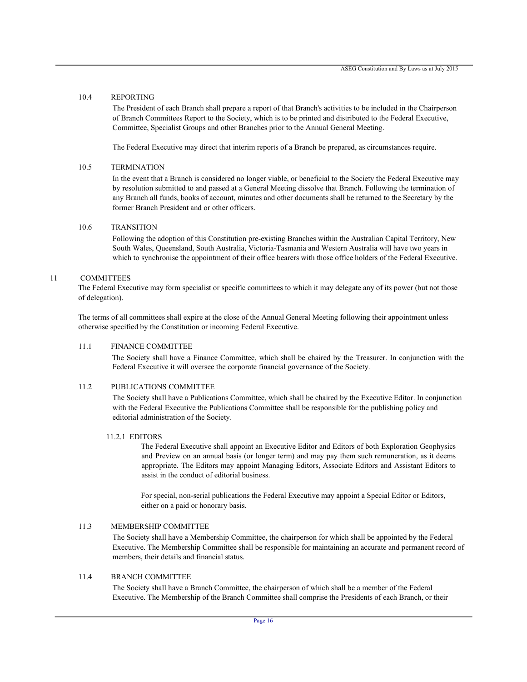#### 10.4 REPORTING

The President of each Branch shall prepare a report of that Branch's activities to be included in the Chairperson of Branch Committees Report to the Society, which is to be printed and distributed to the Federal Executive, Committee, Specialist Groups and other Branches prior to the Annual General Meeting.

The Federal Executive may direct that interim reports of a Branch be prepared, as circumstances require.

# 10.5 TERMINATION

In the event that a Branch is considered no longer viable, or beneficial to the Society the Federal Executive may by resolution submitted to and passed at a General Meeting dissolve that Branch. Following the termination of any Branch all funds, books of account, minutes and other documents shall be returned to the Secretary by the former Branch President and or other officers.

## 10.6 TRANSITION

Following the adoption of this Constitution pre-existing Branches within the Australian Capital Territory, New South Wales, Queensland, South Australia, Victoria-Tasmania and Western Australia will have two years in which to synchronise the appointment of their office bearers with those office holders of the Federal Executive.

#### 11 COMMITTEES

The Federal Executive may form specialist or specific committees to which it may delegate any of its power (but not those of delegation).

The terms of all committees shall expire at the close of the Annual General Meeting following their appointment unless otherwise specified by the Constitution or incoming Federal Executive.

# 11.1 FINANCE COMMITTEE

The Society shall have a Finance Committee, which shall be chaired by the Treasurer. In conjunction with the Federal Executive it will oversee the corporate financial governance of the Society.

# 11.2 PUBLICATIONS COMMITTEE

The Society shall have a Publications Committee, which shall be chaired by the Executive Editor. In conjunction with the Federal Executive the Publications Committee shall be responsible for the publishing policy and editorial administration of the Society.

#### 11.2.1 EDITORS

The Federal Executive shall appoint an Executive Editor and Editors of both Exploration Geophysics and Preview on an annual basis (or longer term) and may pay them such remuneration, as it deems appropriate. The Editors may appoint Managing Editors, Associate Editors and Assistant Editors to assist in the conduct of editorial business.

For special, non-serial publications the Federal Executive may appoint a Special Editor or Editors, either on a paid or honorary basis.

# 11.3 MEMBERSHIP COMMITTEE

The Society shall have a Membership Committee, the chairperson for which shall be appointed by the Federal Executive. The Membership Committee shall be responsible for maintaining an accurate and permanent record of members, their details and financial status.

#### 11.4 BRANCH COMMITTEE

The Society shall have a Branch Committee, the chairperson of which shall be a member of the Federal Executive. The Membership of the Branch Committee shall comprise the Presidents of each Branch, or their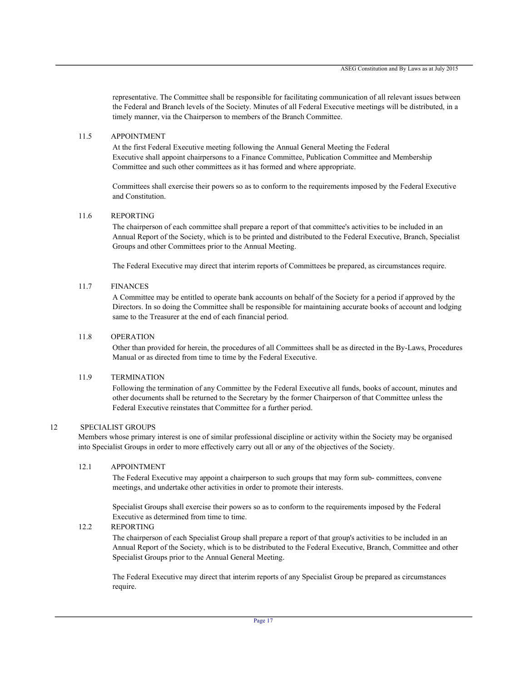representative. The Committee shall be responsible for facilitating communication of all relevant issues between the Federal and Branch levels of the Society. Minutes of all Federal Executive meetings will be distributed, in a timely manner, via the Chairperson to members of the Branch Committee.

# 11.5 APPOINTMENT

At the first Federal Executive meeting following the Annual General Meeting the Federal Executive shall appoint chairpersons to a Finance Committee, Publication Committee and Membership Committee and such other committees as it has formed and where appropriate.

Committees shall exercise their powers so as to conform to the requirements imposed by the Federal Executive and Constitution.

# 11.6 REPORTING

The chairperson of each committee shall prepare a report of that committee's activities to be included in an Annual Report of the Society, which is to be printed and distributed to the Federal Executive, Branch, Specialist Groups and other Committees prior to the Annual Meeting.

The Federal Executive may direct that interim reports of Committees be prepared, as circumstances require.

# 11.7 FINANCES

A Committee may be entitled to operate bank accounts on behalf of the Society for a period if approved by the Directors. In so doing the Committee shall be responsible for maintaining accurate books of account and lodging same to the Treasurer at the end of each financial period.

# 11.8 OPERATION

Other than provided for herein, the procedures of all Committees shall be as directed in the By-Laws, Procedures Manual or as directed from time to time by the Federal Executive.

# 11.9 TERMINATION

Following the termination of any Committee by the Federal Executive all funds, books of account, minutes and other documents shall be returned to the Secretary by the former Chairperson of that Committee unless the Federal Executive reinstates that Committee for a further period.

# 12 SPECIALIST GROUPS

Members whose primary interest is one of similar professional discipline or activity within the Society may be organised into Specialist Groups in order to more effectively carry out all or any of the objectives of the Society.

# 12.1 APPOINTMENT

The Federal Executive may appoint a chairperson to such groups that may form sub- committees, convene meetings, and undertake other activities in order to promote their interests.

Specialist Groups shall exercise their powers so as to conform to the requirements imposed by the Federal Executive as determined from time to time.

# 12.2 REPORTING

The chairperson of each Specialist Group shall prepare a report of that group's activities to be included in an Annual Report of the Society, which is to be distributed to the Federal Executive, Branch, Committee and other Specialist Groups prior to the Annual General Meeting.

The Federal Executive may direct that interim reports of any Specialist Group be prepared as circumstances require.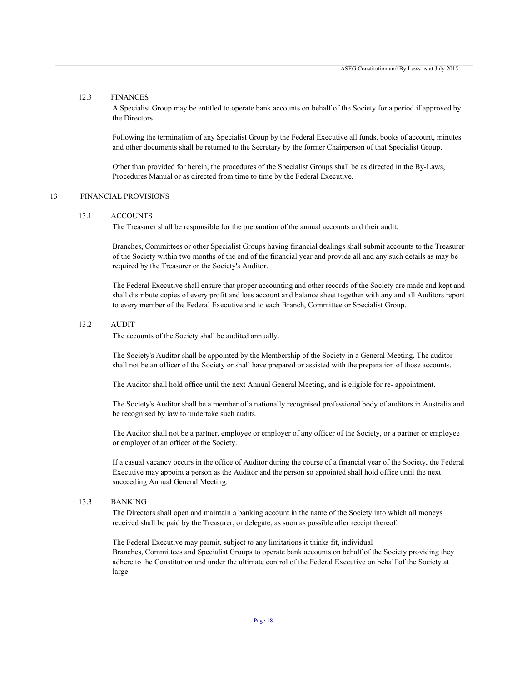#### 12.3 FINANCES

A Specialist Group may be entitled to operate bank accounts on behalf of the Society for a period if approved by the Directors.

Following the termination of any Specialist Group by the Federal Executive all funds, books of account, minutes and other documents shall be returned to the Secretary by the former Chairperson of that Specialist Group.

Other than provided for herein, the procedures of the Specialist Groups shall be as directed in the By-Laws, Procedures Manual or as directed from time to time by the Federal Executive.

# 13 FINANCIAL PROVISIONS

#### 13.1 ACCOUNTS

The Treasurer shall be responsible for the preparation of the annual accounts and their audit.

Branches, Committees or other Specialist Groups having financial dealings shall submit accounts to the Treasurer of the Society within two months of the end of the financial year and provide all and any such details as may be required by the Treasurer or the Society's Auditor.

The Federal Executive shall ensure that proper accounting and other records of the Society are made and kept and shall distribute copies of every profit and loss account and balance sheet together with any and all Auditors report to every member of the Federal Executive and to each Branch, Committee or Specialist Group.

#### 13.2 AUDIT

The accounts of the Society shall be audited annually.

The Society's Auditor shall be appointed by the Membership of the Society in a General Meeting. The auditor shall not be an officer of the Society or shall have prepared or assisted with the preparation of those accounts.

The Auditor shall hold office until the next Annual General Meeting, and is eligible for re- appointment.

The Society's Auditor shall be a member of a nationally recognised professional body of auditors in Australia and be recognised by law to undertake such audits.

The Auditor shall not be a partner, employee or employer of any officer of the Society, or a partner or employee or employer of an officer of the Society.

If a casual vacancy occurs in the office of Auditor during the course of a financial year of the Society, the Federal Executive may appoint a person as the Auditor and the person so appointed shall hold office until the next succeeding Annual General Meeting.

# 13.3 BANKING

The Directors shall open and maintain a banking account in the name of the Society into which all moneys received shall be paid by the Treasurer, or delegate, as soon as possible after receipt thereof.

The Federal Executive may permit, subject to any limitations it thinks fit, individual Branches, Committees and Specialist Groups to operate bank accounts on behalf of the Society providing they adhere to the Constitution and under the ultimate control of the Federal Executive on behalf of the Society at large.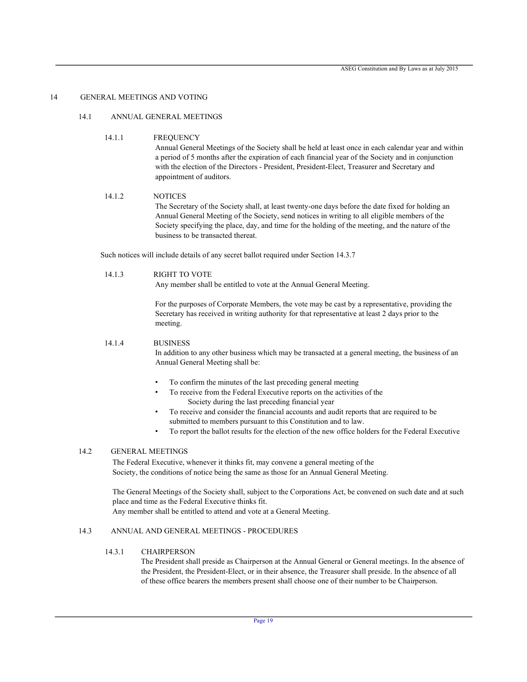#### 14 GENERAL MEETINGS AND VOTING

# 14.1 ANNUAL GENERAL MEETINGS

# 14.1.1 FREQUENCY

Annual General Meetings of the Society shall be held at least once in each calendar year and within a period of 5 months after the expiration of each financial year of the Society and in conjunction with the election of the Directors - President, President-Elect, Treasurer and Secretary and appointment of auditors.

# 14.1.2 NOTICES

The Secretary of the Society shall, at least twenty-one days before the date fixed for holding an Annual General Meeting of the Society, send notices in writing to all eligible members of the Society specifying the place, day, and time for the holding of the meeting, and the nature of the business to be transacted thereat.

Such notices will include details of any secret ballot required under Section 14.3.7

## 14.1.3 RIGHT TO VOTE

Any member shall be entitled to vote at the Annual General Meeting.

For the purposes of Corporate Members, the vote may be cast by a representative, providing the Secretary has received in writing authority for that representative at least 2 days prior to the meeting.

# 14.1.4 BUSINESS

In addition to any other business which may be transacted at a general meeting, the business of an Annual General Meeting shall be:

- To confirm the minutes of the last preceding general meeting
	- To receive from the Federal Executive reports on the activities of the Society during the last preceding financial year
- To receive and consider the financial accounts and audit reports that are required to be submitted to members pursuant to this Constitution and to law.
- To report the ballot results for the election of the new office holders for the Federal Executive

# 14.2 GENERAL MEETINGS

The Federal Executive, whenever it thinks fit, may convene a general meeting of the Society, the conditions of notice being the same as those for an Annual General Meeting.

The General Meetings of the Society shall, subject to the Corporations Act, be convened on such date and at such place and time as the Federal Executive thinks fit.

Any member shall be entitled to attend and vote at a General Meeting.

# 14.3 ANNUAL AND GENERAL MEETINGS - PROCEDURES

# 14.3.1 CHAIRPERSON

The President shall preside as Chairperson at the Annual General or General meetings. In the absence of the President, the President-Elect, or in their absence, the Treasurer shall preside. In the absence of all of these office bearers the members present shall choose one of their number to be Chairperson.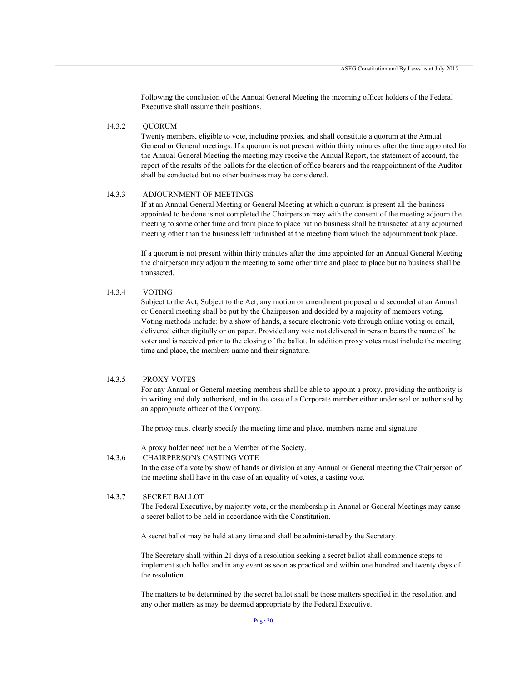Following the conclusion of the Annual General Meeting the incoming officer holders of the Federal Executive shall assume their positions.

# 14.3.2 QUORUM

Twenty members, eligible to vote, including proxies, and shall constitute a quorum at the Annual General or General meetings. If a quorum is not present within thirty minutes after the time appointed for the Annual General Meeting the meeting may receive the Annual Report, the statement of account, the report of the results of the ballots for the election of office bearers and the reappointment of the Auditor shall be conducted but no other business may be considered.

# 14.3.3 ADJOURNMENT OF MEETINGS

If at an Annual General Meeting or General Meeting at which a quorum is present all the business appointed to be done is not completed the Chairperson may with the consent of the meeting adjourn the meeting to some other time and from place to place but no business shall be transacted at any adjourned meeting other than the business left unfinished at the meeting from which the adjournment took place.

If a quorum is not present within thirty minutes after the time appointed for an Annual General Meeting the chairperson may adjourn the meeting to some other time and place to place but no business shall be transacted.

# 14.3.4 VOTING

Subject to the Act, Subject to the Act, any motion or amendment proposed and seconded at an Annual or General meeting shall be put by the Chairperson and decided by a majority of members voting. Voting methods include: by a show of hands, a secure electronic vote through online voting or email, delivered either digitally or on paper. Provided any vote not delivered in person bears the name of the voter and is received prior to the closing of the ballot. In addition proxy votes must include the meeting time and place, the members name and their signature.

# 14.3.5 PROXY VOTES

For any Annual or General meeting members shall be able to appoint a proxy, providing the authority is in writing and duly authorised, and in the case of a Corporate member either under seal or authorised by an appropriate officer of the Company.

The proxy must clearly specify the meeting time and place, members name and signature.

A proxy holder need not be a Member of the Society.

# 14.3.6 CHAIRPERSON's CASTING VOTE

In the case of a vote by show of hands or division at any Annual or General meeting the Chairperson of the meeting shall have in the case of an equality of votes, a casting vote.

# 14.3.7 SECRET BALLOT

The Federal Executive, by majority vote, or the membership in Annual or General Meetings may cause a secret ballot to be held in accordance with the Constitution.

A secret ballot may be held at any time and shall be administered by the Secretary.

The Secretary shall within 21 days of a resolution seeking a secret ballot shall commence steps to implement such ballot and in any event as soon as practical and within one hundred and twenty days of the resolution.

The matters to be determined by the secret ballot shall be those matters specified in the resolution and any other matters as may be deemed appropriate by the Federal Executive.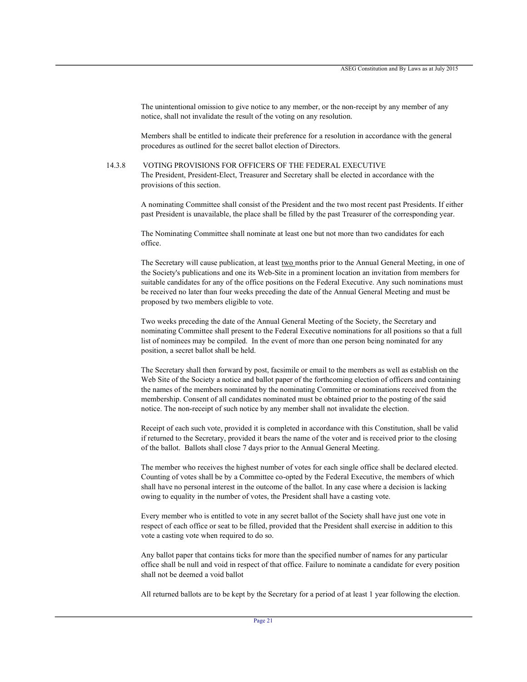The unintentional omission to give notice to any member, or the non-receipt by any member of any notice, shall not invalidate the result of the voting on any resolution.

Members shall be entitled to indicate their preference for a resolution in accordance with the general procedures as outlined for the secret ballot election of Directors.

14.3.8 VOTING PROVISIONS FOR OFFICERS OF THE FEDERAL EXECUTIVE The President, President-Elect, Treasurer and Secretary shall be elected in accordance with the provisions of this section.

> A nominating Committee shall consist of the President and the two most recent past Presidents. If either past President is unavailable, the place shall be filled by the past Treasurer of the corresponding year.

The Nominating Committee shall nominate at least one but not more than two candidates for each office.

The Secretary will cause publication, at least two months prior to the Annual General Meeting, in one of the Society's publications and one its Web-Site in a prominent location an invitation from members for suitable candidates for any of the office positions on the Federal Executive. Any such nominations must be received no later than four weeks preceding the date of the Annual General Meeting and must be proposed by two members eligible to vote.

Two weeks preceding the date of the Annual General Meeting of the Society, the Secretary and nominating Committee shall present to the Federal Executive nominations for all positions so that a full list of nominees may be compiled. In the event of more than one person being nominated for any position, a secret ballot shall be held.

The Secretary shall then forward by post, facsimile or email to the members as well as establish on the Web Site of the Society a notice and ballot paper of the forthcoming election of officers and containing the names of the members nominated by the nominating Committee or nominations received from the membership. Consent of all candidates nominated must be obtained prior to the posting of the said notice. The non-receipt of such notice by any member shall not invalidate the election.

Receipt of each such vote, provided it is completed in accordance with this Constitution, shall be valid if returned to the Secretary, provided it bears the name of the voter and is received prior to the closing of the ballot. Ballots shall close 7 days prior to the Annual General Meeting.

The member who receives the highest number of votes for each single office shall be declared elected. Counting of votes shall be by a Committee co-opted by the Federal Executive, the members of which shall have no personal interest in the outcome of the ballot. In any case where a decision is lacking owing to equality in the number of votes, the President shall have a casting vote.

Every member who is entitled to vote in any secret ballot of the Society shall have just one vote in respect of each office or seat to be filled, provided that the President shall exercise in addition to this vote a casting vote when required to do so.

Any ballot paper that contains ticks for more than the specified number of names for any particular office shall be null and void in respect of that office. Failure to nominate a candidate for every position shall not be deemed a void ballot

All returned ballots are to be kept by the Secretary for a period of at least 1 year following the election.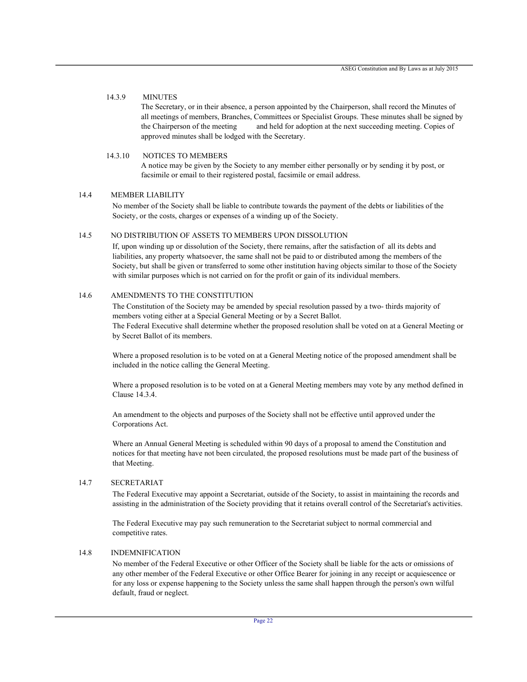# 14.3.9 MINUTES

The Secretary, or in their absence, a person appointed by the Chairperson, shall record the Minutes of all meetings of members, Branches, Committees or Specialist Groups. These minutes shall be signed by the Chairperson of the meeting and held for adoption at the next succeeding meeting. Copies of approved minutes shall be lodged with the Secretary.

#### 14.3.10 NOTICES TO MEMBERS

A notice may be given by the Society to any member either personally or by sending it by post, or facsimile or email to their registered postal, facsimile or email address.

# 14.4 MEMBER LIABILITY

No member of the Society shall be liable to contribute towards the payment of the debts or liabilities of the Society, or the costs, charges or expenses of a winding up of the Society.

# 14.5 NO DISTRIBUTION OF ASSETS TO MEMBERS UPON DISSOLUTION

If, upon winding up or dissolution of the Society, there remains, after the satisfaction of all its debts and liabilities, any property whatsoever, the same shall not be paid to or distributed among the members of the Society, but shall be given or transferred to some other institution having objects similar to those of the Society with similar purposes which is not carried on for the profit or gain of its individual members.

# 14.6 AMENDMENTS TO THE CONSTITUTION

The Constitution of the Society may be amended by special resolution passed by a two- thirds majority of members voting either at a Special General Meeting or by a Secret Ballot. The Federal Executive shall determine whether the proposed resolution shall be voted on at a General Meeting or by Secret Ballot of its members.

Where a proposed resolution is to be voted on at a General Meeting notice of the proposed amendment shall be included in the notice calling the General Meeting.

Where a proposed resolution is to be voted on at a General Meeting members may vote by any method defined in Clause 14.3.4.

An amendment to the objects and purposes of the Society shall not be effective until approved under the Corporations Act.

Where an Annual General Meeting is scheduled within 90 days of a proposal to amend the Constitution and notices for that meeting have not been circulated, the proposed resolutions must be made part of the business of that Meeting.

# 14.7 SECRETARIAT

The Federal Executive may appoint a Secretariat, outside of the Society, to assist in maintaining the records and assisting in the administration of the Society providing that it retains overall control of the Secretariat's activities.

The Federal Executive may pay such remuneration to the Secretariat subject to normal commercial and competitive rates.

#### 14.8 INDEMNIFICATION

No member of the Federal Executive or other Officer of the Society shall be liable for the acts or omissions of any other member of the Federal Executive or other Office Bearer for joining in any receipt or acquiescence or for any loss or expense happening to the Society unless the same shall happen through the person's own wilful default, fraud or neglect.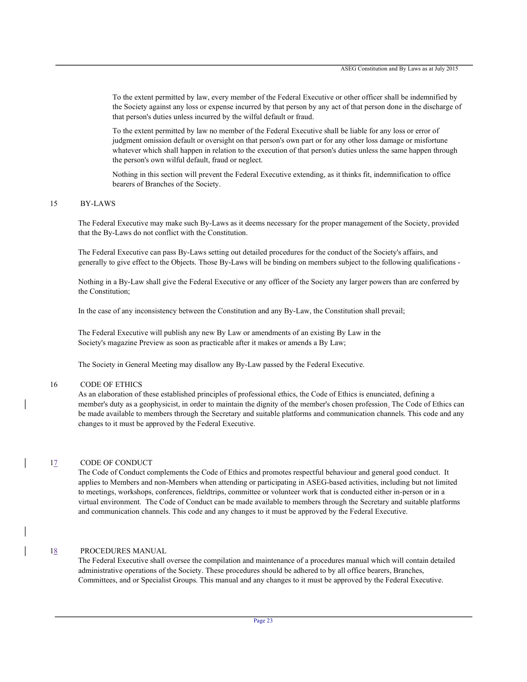To the extent permitted by law, every member of the Federal Executive or other officer shall be indemnified by the Society against any loss or expense incurred by that person by any act of that person done in the discharge of that person's duties unless incurred by the wilful default or fraud.

To the extent permitted by law no member of the Federal Executive shall be liable for any loss or error of judgment omission default or oversight on that person's own part or for any other loss damage or misfortune whatever which shall happen in relation to the execution of that person's duties unless the same happen through the person's own wilful default, fraud or neglect.

Nothing in this section will prevent the Federal Executive extending, as it thinks fit, indemnification to office bearers of Branches of the Society.

# 15 BY-LAWS

The Federal Executive may make such By-Laws as it deems necessary for the proper management of the Society, provided that the By-Laws do not conflict with the Constitution.

The Federal Executive can pass By-Laws setting out detailed procedures for the conduct of the Society's affairs, and generally to give effect to the Objects. Those By-Laws will be binding on members subject to the following qualifications -

Nothing in a By-Law shall give the Federal Executive or any officer of the Society any larger powers than are conferred by the Constitution;

In the case of any inconsistency between the Constitution and any By-Law, the Constitution shall prevail;

The Federal Executive will publish any new By Law or amendments of an existing By Law in the Society's magazine Preview as soon as practicable after it makes or amends a By Law;

The Society in General Meeting may disallow any By-Law passed by the Federal Executive.

#### 16 CODE OF ETHICS

As an elaboration of these established principles of professional ethics, the Code of Ethics is enunciated, defining a member's duty as a geophysicist, in order to maintain the dignity of the member's chosen profession. The Code of Ethics can be made available to members through the Secretary and suitable platforms and communication channels. This code and any changes to it must be approved by the Federal Executive.

# 17 CODE OF CONDUCT

The Code of Conduct complements the Code of Ethics and promotes respectful behaviour and general good conduct. It applies to Members and non-Members when attending or participating in ASEG-based activities, including but not limited to meetings, workshops, conferences, fieldtrips, committee or volunteer work that is conducted either in-person or in a virtual environment. The Code of Conduct can be made available to members through the Secretary and suitable platforms and communication channels. This code and any changes to it must be approved by the Federal Executive.

# 18 PROCEDURES MANUAL

The Federal Executive shall oversee the compilation and maintenance of a procedures manual which will contain detailed administrative operations of the Society. These procedures should be adhered to by all office bearers, Branches, Committees, and or Specialist Groups. This manual and any changes to it must be approved by the Federal Executive.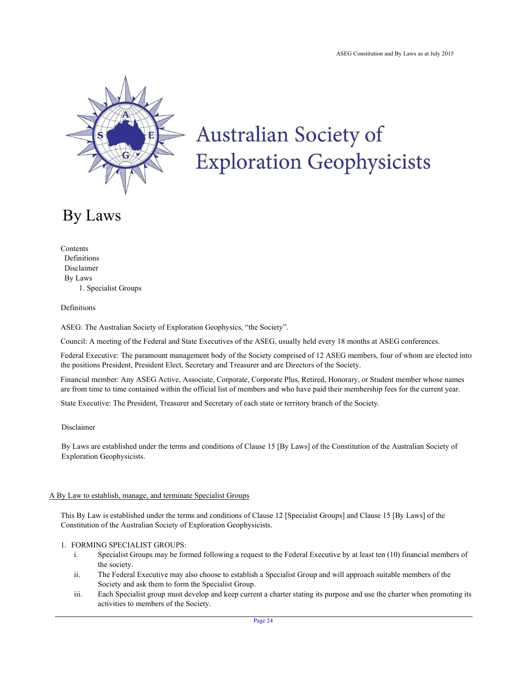

# Australian Society of **Exploration Geophysicists**

# By Laws

**Contents** Definitions Disclaimer By Laws 1. Specialist Groups

Definitions

ASEG: The Australian Society of Exploration Geophysics, "the Society".

Council: A meeting of the Federal and State Executives of the ASEG, usually held every 18 months at ASEG conferences.

Federal Executive: The paramount management body of the Society comprised of 12 ASEG members, four of whom are elected into the positions President, President Elect, Secretary and Treasurer and are Directors of the Society.

Financial member: Any ASEG Active, Associate, Corporate, Corporate Plus, Retired, Honorary, or Student member whose names are from time to time contained within the official list of members and who have paid their membership fees for the current year.

State Executive: The President, Treasurer and Secretary of each state or territory branch of the Society.

Disclaimer

By Laws are established under the terms and conditions of Clause 15 [By Laws] of the Constitution of the Australian Society of Exploration Geophysicists.

# A By Law to establish, manage, and terminate Specialist Groups

This By Law is established under the terms and conditions of Clause 12 [Specialist Groups] and Clause 15 [By Laws] of the Constitution of the Australian Society of Exploration Geophysicists.

# 1. FORMING SPECIALIST GROUPS:

- i. Specialist Groups may be formed following a request to the Federal Executive by at least ten (10) financial members of the society.
- ii. The Federal Executive may also choose to establish a Specialist Group and will approach suitable members of the Society and ask them to form the Specialist Group.
- iii. Each Specialist group must develop and keep current a charter stating its purpose and use the charter when promoting its activities to members of the Society.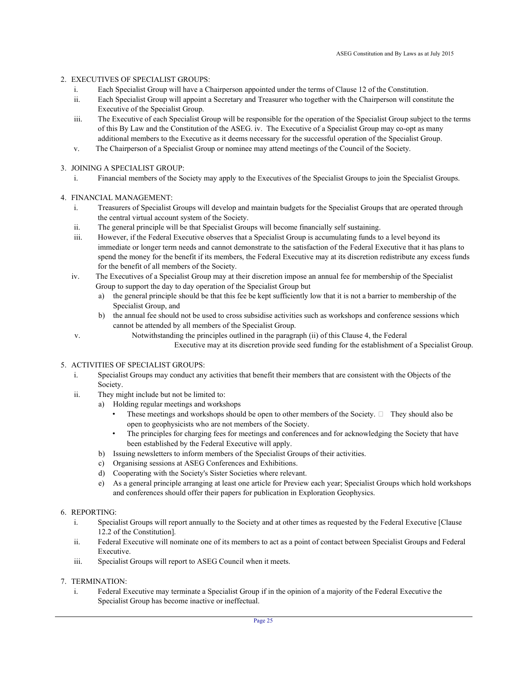# 2. EXECUTIVES OF SPECIALIST GROUPS:

- i. Each Specialist Group will have a Chairperson appointed under the terms of Clause 12 of the Constitution.
- ii. Each Specialist Group will appoint a Secretary and Treasurer who together with the Chairperson will constitute the Executive of the Specialist Group.
- iii. The Executive of each Specialist Group will be responsible for the operation of the Specialist Group subject to the terms of this By Law and the Constitution of the ASEG. iv. The Executive of a Specialist Group may co-opt as many additional members to the Executive as it deems necessary for the successful operation of the Specialist Group.
- v. The Chairperson of a Specialist Group or nominee may attend meetings of the Council of the Society.

# 3. JOINING A SPECIALIST GROUP:

i. Financial members of the Society may apply to the Executives of the Specialist Groups to join the Specialist Groups.

# 4. FINANCIAL MANAGEMENT:

- i. Treasurers of Specialist Groups will develop and maintain budgets for the Specialist Groups that are operated through the central virtual account system of the Society.
- ii. The general principle will be that Specialist Groups will become financially self sustaining.
- iii. However, if the Federal Executive observes that a Specialist Group is accumulating funds to a level beyond its immediate or longer term needs and cannot demonstrate to the satisfaction of the Federal Executive that it has plans to spend the money for the benefit if its members, the Federal Executive may at its discretion redistribute any excess funds for the benefit of all members of the Society.
- iv. The Executives of a Specialist Group may at their discretion impose an annual fee for membership of the Specialist Group to support the day to day operation of the Specialist Group but
	- a) the general principle should be that this fee be kept sufficiently low that it is not a barrier to membership of the Specialist Group, and
	- b) the annual fee should not be used to cross subsidise activities such as workshops and conference sessions which cannot be attended by all members of the Specialist Group.
- 

v. Notwithstanding the principles outlined in the paragraph (ii) of this Clause 4, the Federal Executive may at its discretion provide seed funding for the establishment of a Specialist Group.

# 5. ACTIVITIES OF SPECIALIST GROUPS:

- i. Specialist Groups may conduct any activities that benefit their members that are consistent with the Objects of the Society.
- ii. They might include but not be limited to:
	- a) Holding regular meetings and workshops
		- These meetings and workshops should be open to other members of the Society.  $\Box$  They should also be open to geophysicists who are not members of the Society.
		- The principles for charging fees for meetings and conferences and for acknowledging the Society that have been established by the Federal Executive will apply.
		- b) Issuing newsletters to inform members of the Specialist Groups of their activities.
		- c) Organising sessions at ASEG Conferences and Exhibitions.
		- d) Cooperating with the Society's Sister Societies where relevant.
		- e) As a general principle arranging at least one article for Preview each year; Specialist Groups which hold workshops and conferences should offer their papers for publication in Exploration Geophysics.
- 6. REPORTING:
	- i. Specialist Groups will report annually to the Society and at other times as requested by the Federal Executive [Clause 12.2 of the Constitution].
	- ii. Federal Executive will nominate one of its members to act as a point of contact between Specialist Groups and Federal Executive.
	- iii. Specialist Groups will report to ASEG Council when it meets.
- 7. TERMINATION:
	- i. Federal Executive may terminate a Specialist Group if in the opinion of a majority of the Federal Executive the Specialist Group has become inactive or ineffectual.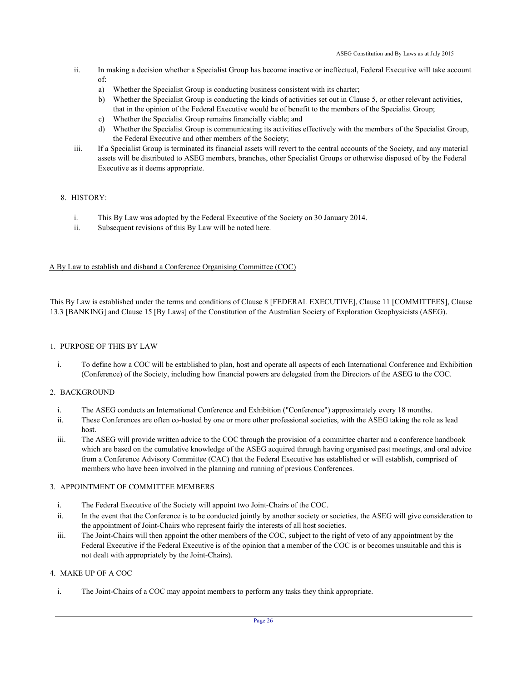- ii. In making a decision whether a Specialist Group has become inactive or ineffectual, Federal Executive will take account of:
	- a) Whether the Specialist Group is conducting business consistent with its charter;
	- b) Whether the Specialist Group is conducting the kinds of activities set out in Clause 5, or other relevant activities, that in the opinion of the Federal Executive would be of benefit to the members of the Specialist Group;
	- c) Whether the Specialist Group remains financially viable; and
	- d) Whether the Specialist Group is communicating its activities effectively with the members of the Specialist Group, the Federal Executive and other members of the Society;
- iii. If a Specialist Group is terminated its financial assets will revert to the central accounts of the Society, and any material assets will be distributed to ASEG members, branches, other Specialist Groups or otherwise disposed of by the Federal Executive as it deems appropriate.

# 8. HISTORY:

- i. This By Law was adopted by the Federal Executive of the Society on 30 January 2014.
- ii. Subsequent revisions of this By Law will be noted here.

# A By Law to establish and disband a Conference Organising Committee (COC)

This By Law is established under the terms and conditions of Clause 8 [FEDERAL EXECUTIVE], Clause 11 [COMMITTEES], Clause 13.3 [BANKING] and Clause 15 [By Laws] of the Constitution of the Australian Society of Exploration Geophysicists (ASEG).

# 1. PURPOSE OF THIS BY LAW

i. To define how a COC will be established to plan, host and operate all aspects of each International Conference and Exhibition (Conference) of the Society, including how financial powers are delegated from the Directors of the ASEG to the COC.

# 2. BACKGROUND

- i. The ASEG conducts an International Conference and Exhibition ("Conference") approximately every 18 months.
- ii. These Conferences are often co-hosted by one or more other professional societies, with the ASEG taking the role as lead host.
- iii. The ASEG will provide written advice to the COC through the provision of a committee charter and a conference handbook which are based on the cumulative knowledge of the ASEG acquired through having organised past meetings, and oral advice from a Conference Advisory Committee (CAC) that the Federal Executive has established or will establish, comprised of members who have been involved in the planning and running of previous Conferences.

# 3. APPOINTMENT OF COMMITTEE MEMBERS

- i. The Federal Executive of the Society will appoint two Joint-Chairs of the COC.
- ii. In the event that the Conference is to be conducted jointly by another society or societies, the ASEG will give consideration to the appointment of Joint-Chairs who represent fairly the interests of all host societies.
- iii. The Joint-Chairs will then appoint the other members of the COC, subject to the right of veto of any appointment by the Federal Executive if the Federal Executive is of the opinion that a member of the COC is or becomes unsuitable and this is not dealt with appropriately by the Joint-Chairs).

# 4. MAKE UP OF A COC

i. The Joint-Chairs of a COC may appoint members to perform any tasks they think appropriate.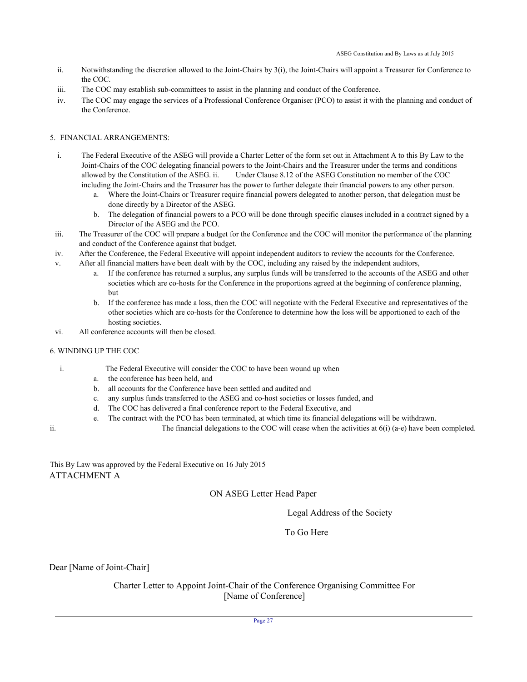- ii. Notwithstanding the discretion allowed to the Joint-Chairs by 3(i), the Joint-Chairs will appoint a Treasurer for Conference to the COC.
- iii. The COC may establish sub-committees to assist in the planning and conduct of the Conference.
- iv. The COC may engage the services of a Professional Conference Organiser (PCO) to assist it with the planning and conduct of the Conference.

# 5. FINANCIAL ARRANGEMENTS:

- i. The Federal Executive of the ASEG will provide a Charter Letter of the form set out in Attachment A to this By Law to the Joint-Chairs of the COC delegating financial powers to the Joint-Chairs and the Treasurer under the terms and conditions allowed by the Constitution of the ASEG. ii. Under Clause 8.12 of the ASEG Constitution no member of the COC including the Joint-Chairs and the Treasurer has the power to further delegate their financial powers to any other person.
	- a. Where the Joint-Chairs or Treasurer require financial powers delegated to another person, that delegation must be done directly by a Director of the ASEG.
	- b. The delegation of financial powers to a PCO will be done through specific clauses included in a contract signed by a Director of the ASEG and the PCO.
- iii. The Treasurer of the COC will prepare a budget for the Conference and the COC will monitor the performance of the planning and conduct of the Conference against that budget.
- iv. After the Conference, the Federal Executive will appoint independent auditors to review the accounts for the Conference.
- v. After all financial matters have been dealt with by the COC, including any raised by the independent auditors,
	- a. If the conference has returned a surplus, any surplus funds will be transferred to the accounts of the ASEG and other societies which are co-hosts for the Conference in the proportions agreed at the beginning of conference planning, but
	- b. If the conference has made a loss, then the COC will negotiate with the Federal Executive and representatives of the other societies which are co-hosts for the Conference to determine how the loss will be apportioned to each of the hosting societies.
- vi. All conference accounts will then be closed.

# 6. WINDING UP THE COC

i. The Federal Executive will consider the COC to have been wound up when

- a. the conference has been held, and
- b. all accounts for the Conference have been settled and audited and
- c. any surplus funds transferred to the ASEG and co-host societies or losses funded, and
- d. The COC has delivered a final conference report to the Federal Executive, and
- e. The contract with the PCO has been terminated, at which time its financial delegations will be withdrawn.
- 

ii. The financial delegations to the COC will cease when the activities at 6(i) (a-e) have been completed.

This By Law was approved by the Federal Executive on 16 July 2015 ATTACHMENT A

ON ASEG Letter Head Paper

Legal Address of the Society

To Go Here

Dear [Name of Joint-Chair]

Charter Letter to Appoint Joint-Chair of the Conference Organising Committee For [Name of Conference]